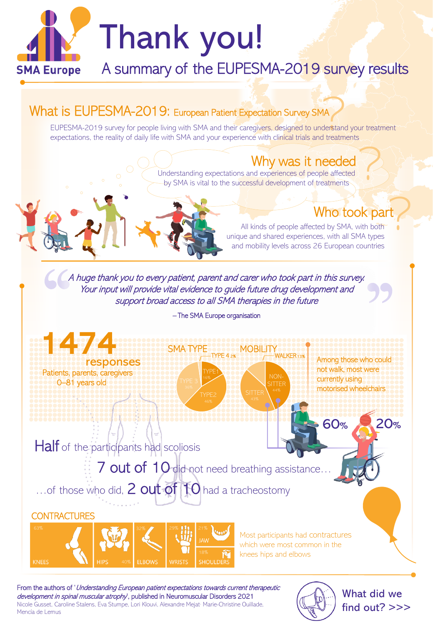



Most participants had contractures which were most common in the knees hips and elbows

From the authors of 'Understanding European patient expectations towards current therapeutic development in spinal muscular atrophy<sup>1</sup>, published in Neuromuscular Disorders 2021 Nicole Gusset, Caroline Stalens, Eva Stumpe, Lori Klouvi, Alexandre Mejat, Marie-Christine Ouillade, Mencía de Lemus



What did we find out? >>>